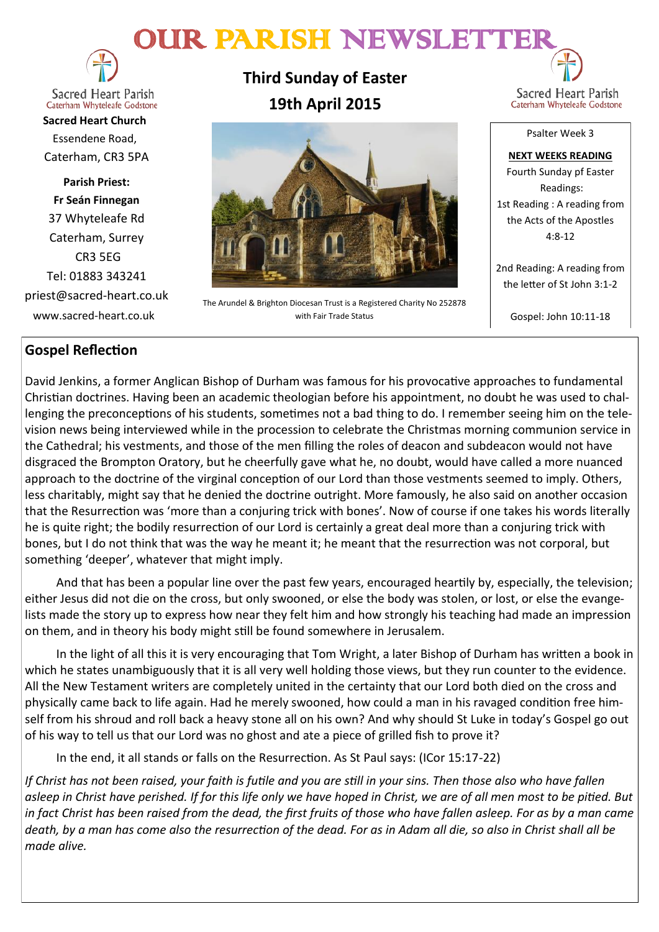# OUR PARISH NEWSLETTE



**Sacred Heart Parish** Caterham Whyteleafe Godstone

**Sacred Heart Church** Essendene Road, Caterham, CR3 5PA

**Parish Priest: Fr Seán Finnegan** 37 Whyteleafe Rd Caterham, Surrey CR3 5EG Tel: 01883 343241 priest@sacred-heart.co.uk www.sacred-heart.co.uk

# **Third Sunday of Easter 19th April 2015**



The Arundel & Brighton Diocesan Trust is a Registered Charity No 252878 with Fair Trade Status

Sacred Heart Parish Caterham Whyteleafe Godstone

Psalter Week 3

**NEXT WEEKS READING** Fourth Sunday pf Easter Readings: 1st Reading : A reading from the Acts of the Apostles 4:8-12

2nd Reading: A reading from the letter of St John 3:1-2

Gospel: John 10:11-18

### **Gospel Reflection**

David Jenkins, a former Anglican Bishop of Durham was famous for his provocative approaches to fundamental Christian doctrines. Having been an academic theologian before his appointment, no doubt he was used to challenging the preconceptions of his students, sometimes not a bad thing to do. I remember seeing him on the television news being interviewed while in the procession to celebrate the Christmas morning communion service in the Cathedral; his vestments, and those of the men filling the roles of deacon and subdeacon would not have disgraced the Brompton Oratory, but he cheerfully gave what he, no doubt, would have called a more nuanced approach to the doctrine of the virginal conception of our Lord than those vestments seemed to imply. Others, less charitably, might say that he denied the doctrine outright. More famously, he also said on another occasion that the Resurrection was 'more than a conjuring trick with bones'. Now of course if one takes his words literally he is quite right; the bodily resurrection of our Lord is certainly a great deal more than a conjuring trick with bones, but I do not think that was the way he meant it; he meant that the resurrection was not corporal, but something 'deeper', whatever that might imply.

And that has been a popular line over the past few years, encouraged heartily by, especially, the television; either Jesus did not die on the cross, but only swooned, or else the body was stolen, or lost, or else the evangelists made the story up to express how near they felt him and how strongly his teaching had made an impression on them, and in theory his body might still be found somewhere in Jerusalem.

In the light of all this it is very encouraging that Tom Wright, a later Bishop of Durham has written a book in which he states unambiguously that it is all very well holding those views, but they run counter to the evidence. All the New Testament writers are completely united in the certainty that our Lord both died on the cross and physically came back to life again. Had he merely swooned, how could a man in his ravaged condition free himself from his shroud and roll back a heavy stone all on his own? And why should St Luke in today's Gospel go out of his way to tell us that our Lord was no ghost and ate a piece of grilled fish to prove it?

In the end, it all stands or falls on the Resurrection. As St Paul says: (ICor 15:17-22)

*If Christ has not been raised, your faith is futile and you are still in your sins. Then those also who have fallen asleep in Christ have perished. If for this life only we have hoped in Christ, we are of all men most to be pitied. But*  in fact Christ has been raised from the dead, the first fruits of those who have fallen asleep. For as by a man came *death, by a man has come also the resurrection of the dead. For as in Adam all die, so also in Christ shall all be made alive.*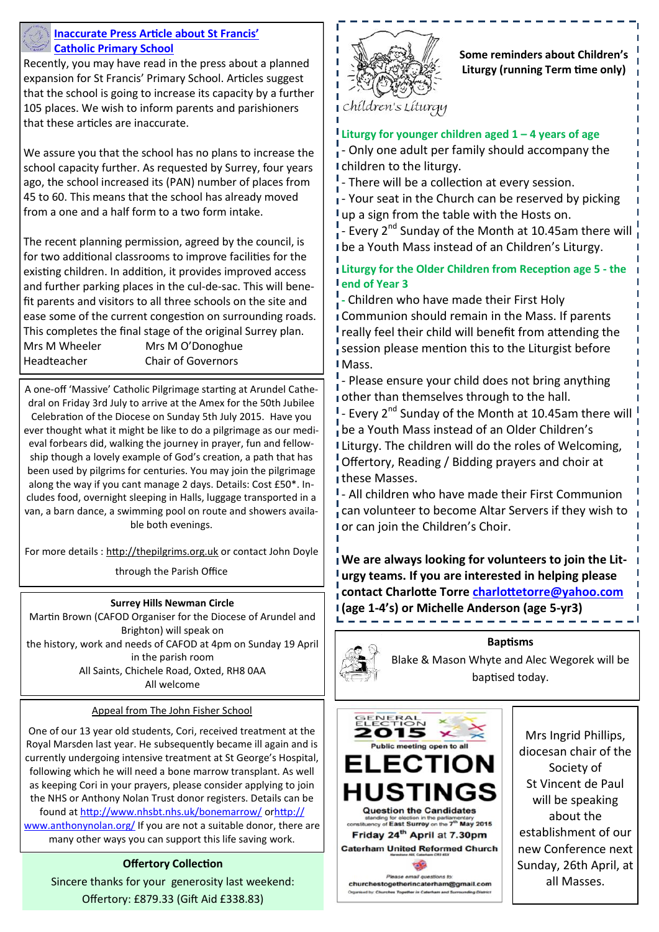

#### **Inaccurate Press Article about St Francis' Catholic Primary School**

Recently, you may have read in the press about a planned expansion for St Francis' Primary School. Articles suggest that the school is going to increase its capacity by a further 105 places. We wish to inform parents and parishioners that these articles are inaccurate.

We assure you that the school has no plans to increase the school capacity further. As requested by Surrey, four years ago, the school increased its (PAN) number of places from 45 to 60. This means that the school has already moved from a one and a half form to a two form intake.

The recent planning permission, agreed by the council, is for two additional classrooms to improve facilities for the existing children. In addition, it provides improved access and further parking places in the cul-de-sac. This will benefit parents and visitors to all three schools on the site and ease some of the current congestion on surrounding roads. This completes the final stage of the original Surrey plan. Mrs M Wheeler Mrs M O'Donoghue Headteacher Chair of Governors

A one-off 'Massive' Catholic Pilgrimage starting at Arundel Cathedral on Friday 3rd July to arrive at the Amex for the 50th Jubilee Celebration of the Diocese on Sunday 5th July 2015. Have you ever thought what it might be like to do a pilgrimage as our medieval forbears did, walking the journey in prayer, fun and fellowship though a lovely example of God's creation, a path that has been used by pilgrims for centuries. You may join the pilgrimage along the way if you cant manage 2 days. Details: Cost £50\*. Includes food, overnight sleeping in Halls, luggage transported in a van, a barn dance, a swimming pool on route and showers available both evenings.

For more details : [http://thepilgrims.org.uk](http://thepilgrims.org.uk/) or contact John Doyle

through the Parish Office

#### **Surrey Hills Newman Circle**

Martin Brown (CAFOD Organiser for the Diocese of Arundel and Brighton) will speak on the history, work and needs of CAFOD at 4pm on Sunday 19 April in the parish room All Saints, Chichele Road, Oxted, RH8 0AA All welcome

#### Appeal from The John Fisher School

One of our 13 year old students, Cori, received treatment at the Royal Marsden last year. He subsequently became ill again and is currently undergoing intensive treatment at St George's Hospital, following which he will need a bone marrow transplant. As well as keeping Cori in your prayers, please consider applying to join the NHS or Anthony Nolan Trust donor registers. Details can be found at <http://www.nhsbt.nhs.uk/bonemarrow/> or[http://](http://www.anthonynolan.org/) [www.anthonynolan.org/](http://www.anthonynolan.org/) If you are not a suitable donor, there are many other ways you can support this life saving work.

#### **Offertory Collection**

Sincere thanks for your generosity last weekend: Offertory: £879.33 (Gift Aid £338.83)



**Some reminders about Children's Liturgy (running Term time only)**

# chíldren's Líturgy

#### **Liturgy for younger children aged 1 – 4 years of age**

- Only one adult per family should accompany the children to the liturgy.

<sup>1</sup> - There will be a collection at every session.

 $\frac{1}{4}$ - Your seat in the Church can be reserved by picking I up a sign from the table with the Hosts on.

- Every  $2^{nd}$  Sunday of the Month at 10.45am there will be a Youth Mass instead of an Children's Liturgy.

#### **Liturgy for the Older Children from Reception age 5 - the end of Year 3**

**-** Children who have made their First Holy Communion should remain in the Mass. If parents really feel their child will benefit from attending the session please mention this to the Liturgist before I Mass.

- Please ensure your child does not bring anything other than themselves through to the hall.

 $I$  - Every 2<sup>nd</sup> Sunday of the Month at 10.45am there will be a Youth Mass instead of an Older Children's Liturgy. The children will do the roles of Welcoming, Offertory, Reading / Bidding prayers and choir at these Masses.

<sup>1</sup> - All children who have made their First Communion can volunteer to become Altar Servers if they wish to I or can join the Children's Choir.

**We are always looking for volunteers to join the Liturgy teams. If you are interested in helping please contact Charlotte Torre [charlottetorre@yahoo.com](mailto:charlottetorre@yahoo.com) (age 1-4's) or Michelle Anderson (age 5-yr3)** 



**Baptisms**

Blake & Mason Whyte and Alec Wegorek will be baptised today.



churchestogetherincaterham@gmail.com in Ca

Mrs Ingrid Phillips, diocesan chair of the Society of St Vincent de Paul will be speaking about the establishment of our new Conference next Sunday, 26th April, at all Masses.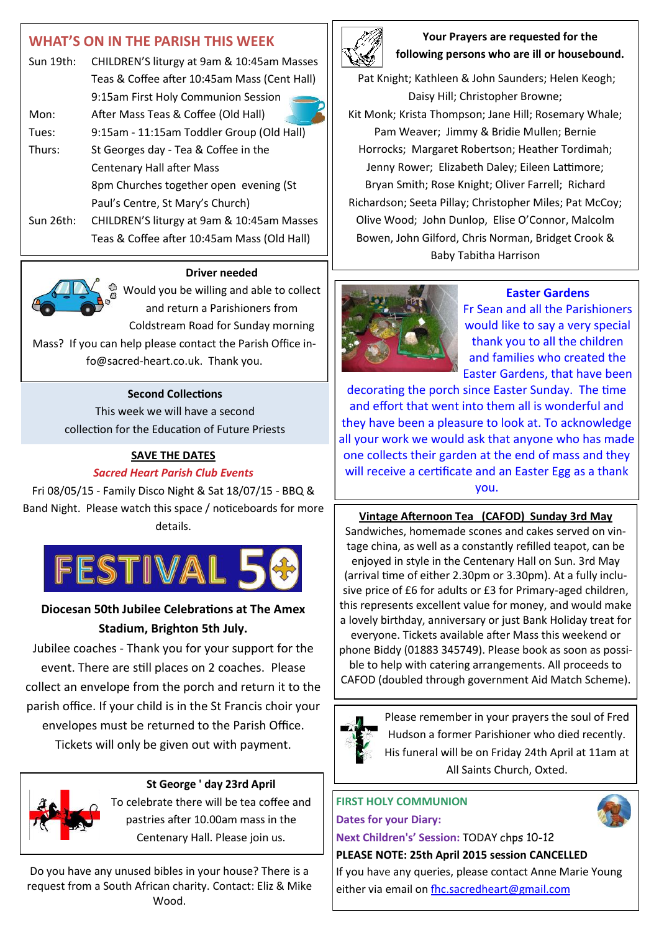# **WHAT'S ON IN THE PARISH THIS WEEK** Sun 19th: CHILDREN'S liturgy at 9am & 10:45am Masses Teas & Coffee after 10:45am Mass (Cent Hall) 9:15am First Holy Communion Session Mon: After Mass Teas & Coffee (Old Hall) Tues: 9:15am - 11:15am Toddler Group (Old Hall) Thurs: St Georges day - Tea & Coffee in the Centenary Hall after Mass 8pm Churches together open evening (St Paul's Centre, St Mary's Church) Sun 26th: CHILDREN'S liturgy at 9am & 10:45am Masses Teas & Coffee after 10:45am Mass (Old Hall)

#### **Driver needed**

 $\frac{1}{2}$  Would you be willing and able to collect and return a Parishioners from Coldstream Road for Sunday morning Mass? If you can help please contact the Parish Office in-

fo@sacred-heart.co.uk. Thank you.

#### **Second Collections**

This week we will have a second collection for the Education of Future Priests

#### **SAVE THE DATES**

#### *Sacred Heart Parish Club Events*

Fri 08/05/15 - Family Disco Night & Sat 18/07/15 - BBQ & Band Night. Please watch this space / noticeboards for more details.



# **Diocesan 50th Jubilee Celebrations at The Amex Stadium, Brighton 5th July.**

Jubilee coaches - Thank you for your support for the event. There are still places on 2 coaches. Please collect an envelope from the porch and return it to the parish office. If your child is in the St Francis choir your envelopes must be returned to the Parish Office. Tickets will only be given out with payment.



#### **St George ' day 23rd April**

To celebrate there will be tea coffee and pastries after 10.00am mass in the Centenary Hall. Please join us.

Do you have any unused bibles in your house? There is a request from a South African charity. Contact: Eliz & Mike Wood.



#### **Your Prayers are requested for the following persons who are ill or housebound.**

Pat Knight; Kathleen & John Saunders; Helen Keogh; Daisy Hill; Christopher Browne; Kit Monk; Krista Thompson; Jane Hill; Rosemary Whale; Pam Weaver; Jimmy & Bridie Mullen; Bernie Horrocks; Margaret Robertson; Heather Tordimah; Jenny Rower; Elizabeth Daley; Eileen Lattimore; Bryan Smith; Rose Knight; Oliver Farrell; Richard Richardson; Seeta Pillay; Christopher Miles; Pat McCoy; Olive Wood; John Dunlop, Elise O'Connor, Malcolm Bowen, John Gilford, Chris Norman, Bridget Crook & Baby Tabitha Harrison



#### **Easter Gardens**

Fr Sean and all the Parishioners would like to say a very special thank you to all the children and families who created the Easter Gardens, that have been

decorating the porch since Easter Sunday. The time and effort that went into them all is wonderful and they have been a pleasure to look at. To acknowledge all your work we would ask that anyone who has made one collects their garden at the end of mass and they will receive a certificate and an Easter Egg as a thank you.

#### **Vintage Afternoon Tea (CAFOD) Sunday 3rd May**

Sandwiches, homemade scones and cakes served on vintage china, as well as a constantly refilled teapot, can be enjoyed in style in the Centenary Hall on Sun. 3rd May (arrival time of either 2.30pm or 3.30pm). At a fully inclusive price of £6 for adults or £3 for Primary-aged children, this represents excellent value for money, and would make a lovely birthday, anniversary or just Bank Holiday treat for everyone. Tickets available after Mass this weekend or

phone Biddy (01883 345749). Please book as soon as possible to help with catering arrangements. All proceeds to CAFOD (doubled through government Aid Match Scheme).



Please remember in your prayers the soul of Fred Hudson a former Parishioner who died recently. His funeral will be on Friday 24th April at 11am at All Saints Church, Oxted.

# **FIRST HOLY COMMUNION Dates for your Diary:**

**Next Children's' Session:** TODAY chps 10-12 **PLEASE NOTE: 25th April 2015 session CANCELLED**

If you have any queries, please contact Anne Marie Young either via email on fhc.sacredheart@gmail.com